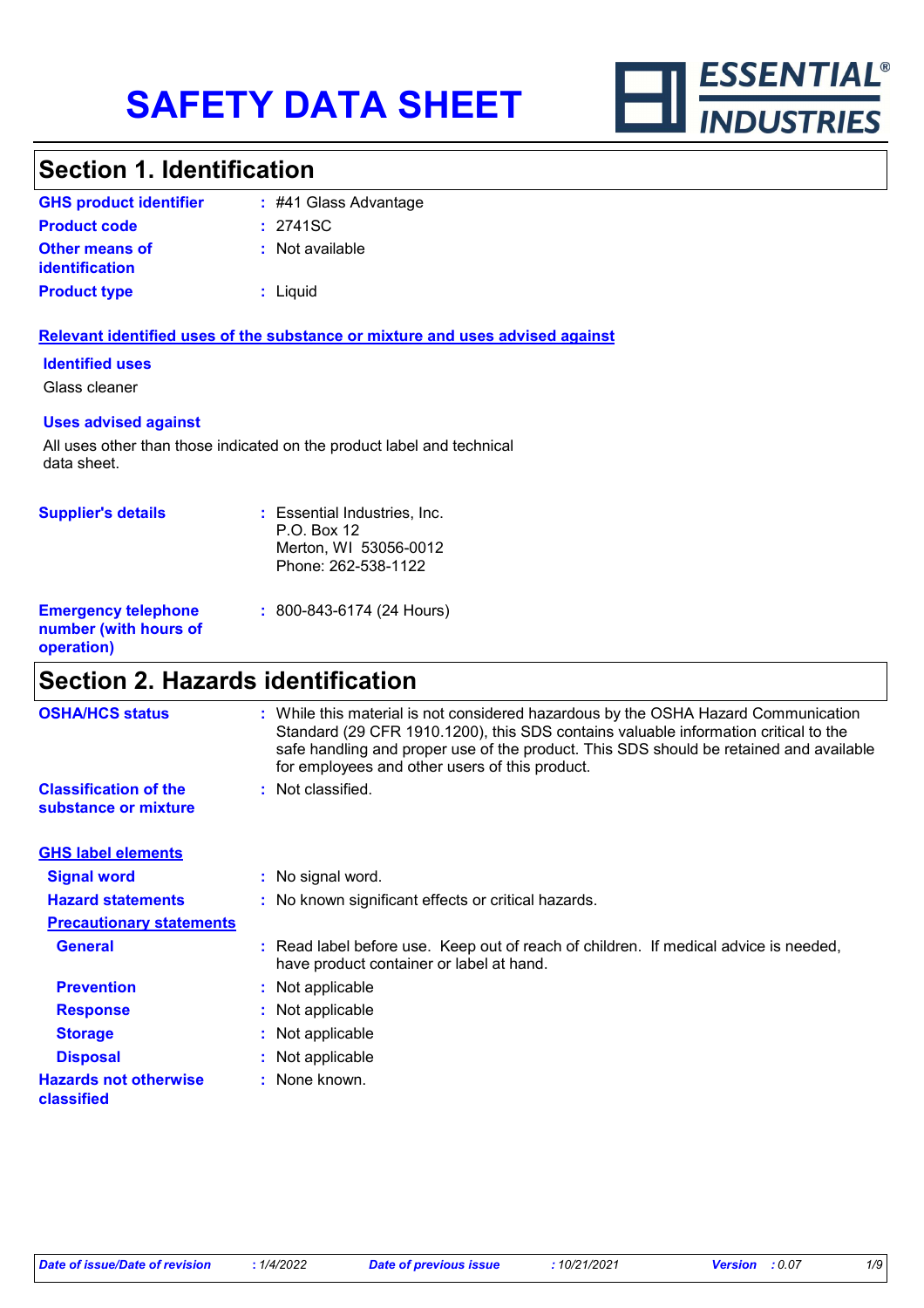

# **Section 1. Identification**

| <b>GHS product identifier</b>                  | $\div$ #41 Glass Advantage |
|------------------------------------------------|----------------------------|
| <b>Product code</b>                            | : 2741SC                   |
| <b>Other means of</b><br><i>identification</i> | : Not available            |
| <b>Product type</b>                            | $:$ Liquid                 |

### **Relevant identified uses of the substance or mixture and uses advised against**

### **Identified uses**

Glass cleaner

### **Uses advised against**

All uses other than those indicated on the product label and technical data sheet.

| <b>Supplier's details</b>                                         | : Essential Industries, Inc.<br>P.O. Box 12<br>Merton, WI 53056-0012<br>Phone: 262-538-1122 |
|-------------------------------------------------------------------|---------------------------------------------------------------------------------------------|
| <b>Emergency telephone</b><br>number (with hours of<br>operation) | $: 800 - 843 - 6174 (24$ Hours)                                                             |

## **Section 2. Hazards identification**

| <b>OSHA/HCS status</b>                               | : While this material is not considered hazardous by the OSHA Hazard Communication<br>Standard (29 CFR 1910.1200), this SDS contains valuable information critical to the<br>safe handling and proper use of the product. This SDS should be retained and available<br>for employees and other users of this product. |
|------------------------------------------------------|-----------------------------------------------------------------------------------------------------------------------------------------------------------------------------------------------------------------------------------------------------------------------------------------------------------------------|
| <b>Classification of the</b><br>substance or mixture | : Not classified.                                                                                                                                                                                                                                                                                                     |
| <b>GHS label elements</b>                            |                                                                                                                                                                                                                                                                                                                       |
| <b>Signal word</b>                                   | : No signal word.                                                                                                                                                                                                                                                                                                     |
| <b>Hazard statements</b>                             | : No known significant effects or critical hazards.                                                                                                                                                                                                                                                                   |
| <b>Precautionary statements</b>                      |                                                                                                                                                                                                                                                                                                                       |
| <b>General</b>                                       | : Read label before use. Keep out of reach of children. If medical advice is needed,<br>have product container or label at hand.                                                                                                                                                                                      |
| <b>Prevention</b>                                    | : Not applicable                                                                                                                                                                                                                                                                                                      |
| <b>Response</b>                                      | : Not applicable                                                                                                                                                                                                                                                                                                      |
| <b>Storage</b>                                       | : Not applicable                                                                                                                                                                                                                                                                                                      |
| <b>Disposal</b>                                      | : Not applicable                                                                                                                                                                                                                                                                                                      |
| <b>Hazards not otherwise</b><br>classified           | : None known.                                                                                                                                                                                                                                                                                                         |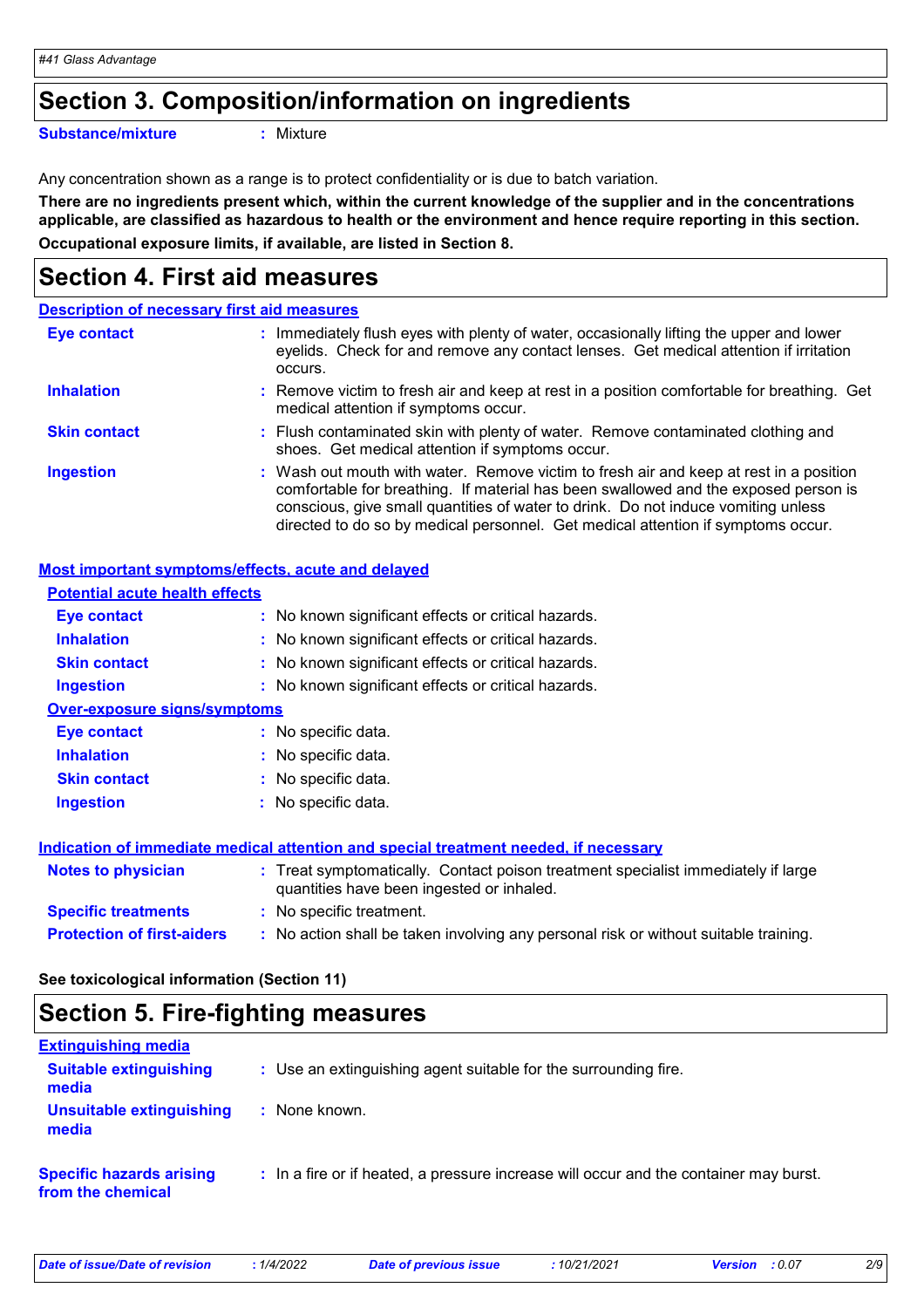## **Section 3. Composition/information on ingredients**

**Substance/mixture :**

: Mixture

Any concentration shown as a range is to protect confidentiality or is due to batch variation.

**There are no ingredients present which, within the current knowledge of the supplier and in the concentrations applicable, are classified as hazardous to health or the environment and hence require reporting in this section. Occupational exposure limits, if available, are listed in Section 8.**

# **Section 4. First aid measures**

|                     | <b>Description of necessary first aid measures</b>                                                                                                                                                                                                                                                                                                     |
|---------------------|--------------------------------------------------------------------------------------------------------------------------------------------------------------------------------------------------------------------------------------------------------------------------------------------------------------------------------------------------------|
| <b>Eye contact</b>  | : Immediately flush eyes with plenty of water, occasionally lifting the upper and lower<br>eyelids. Check for and remove any contact lenses. Get medical attention if irritation<br>occurs.                                                                                                                                                            |
| <b>Inhalation</b>   | : Remove victim to fresh air and keep at rest in a position comfortable for breathing. Get<br>medical attention if symptoms occur.                                                                                                                                                                                                                     |
| <b>Skin contact</b> | : Flush contaminated skin with plenty of water. Remove contaminated clothing and<br>shoes. Get medical attention if symptoms occur.                                                                                                                                                                                                                    |
| <b>Ingestion</b>    | : Wash out mouth with water. Remove victim to fresh air and keep at rest in a position<br>comfortable for breathing. If material has been swallowed and the exposed person is<br>conscious, give small quantities of water to drink. Do not induce vomiting unless<br>directed to do so by medical personnel. Get medical attention if symptoms occur. |

### **Most important symptoms/effects, acute and delayed**

| <b>Potential acute health effects</b>                                                |                                                                                                                                |  |
|--------------------------------------------------------------------------------------|--------------------------------------------------------------------------------------------------------------------------------|--|
| Eye contact                                                                          | : No known significant effects or critical hazards.                                                                            |  |
| <b>Inhalation</b>                                                                    | : No known significant effects or critical hazards.                                                                            |  |
| <b>Skin contact</b>                                                                  | : No known significant effects or critical hazards.                                                                            |  |
| <b>Ingestion</b>                                                                     | : No known significant effects or critical hazards.                                                                            |  |
| <b>Over-exposure signs/symptoms</b>                                                  |                                                                                                                                |  |
| <b>Eye contact</b>                                                                   | : No specific data.                                                                                                            |  |
| <b>Inhalation</b>                                                                    | : No specific data.                                                                                                            |  |
| <b>Skin contact</b>                                                                  | $:$ No specific data.                                                                                                          |  |
| <b>Ingestion</b>                                                                     | : No specific data.                                                                                                            |  |
| Indication of immediate medical attention and special treatment needed, if necessary |                                                                                                                                |  |
| <b>Notes to physician</b>                                                            | : Treat symptomatically. Contact poison treatment specialist immediately if large<br>quantities have been ingested or inhaled. |  |
| <b>Specific treatments</b>                                                           | : No specific treatment.                                                                                                       |  |
| <b>Protection of first-aiders</b>                                                    | : No action shall be taken involving any personal risk or without suitable training.                                           |  |

**See toxicological information (Section 11)**

# **Section 5. Fire-fighting measures**

| <b>Extinguishing media</b>                           |                                                                                       |
|------------------------------------------------------|---------------------------------------------------------------------------------------|
| <b>Suitable extinguishing</b><br>media               | : Use an extinguishing agent suitable for the surrounding fire.                       |
| <b>Unsuitable extinguishing</b><br>media             | : None known.                                                                         |
| <b>Specific hazards arising</b><br>from the chemical | : In a fire or if heated, a pressure increase will occur and the container may burst. |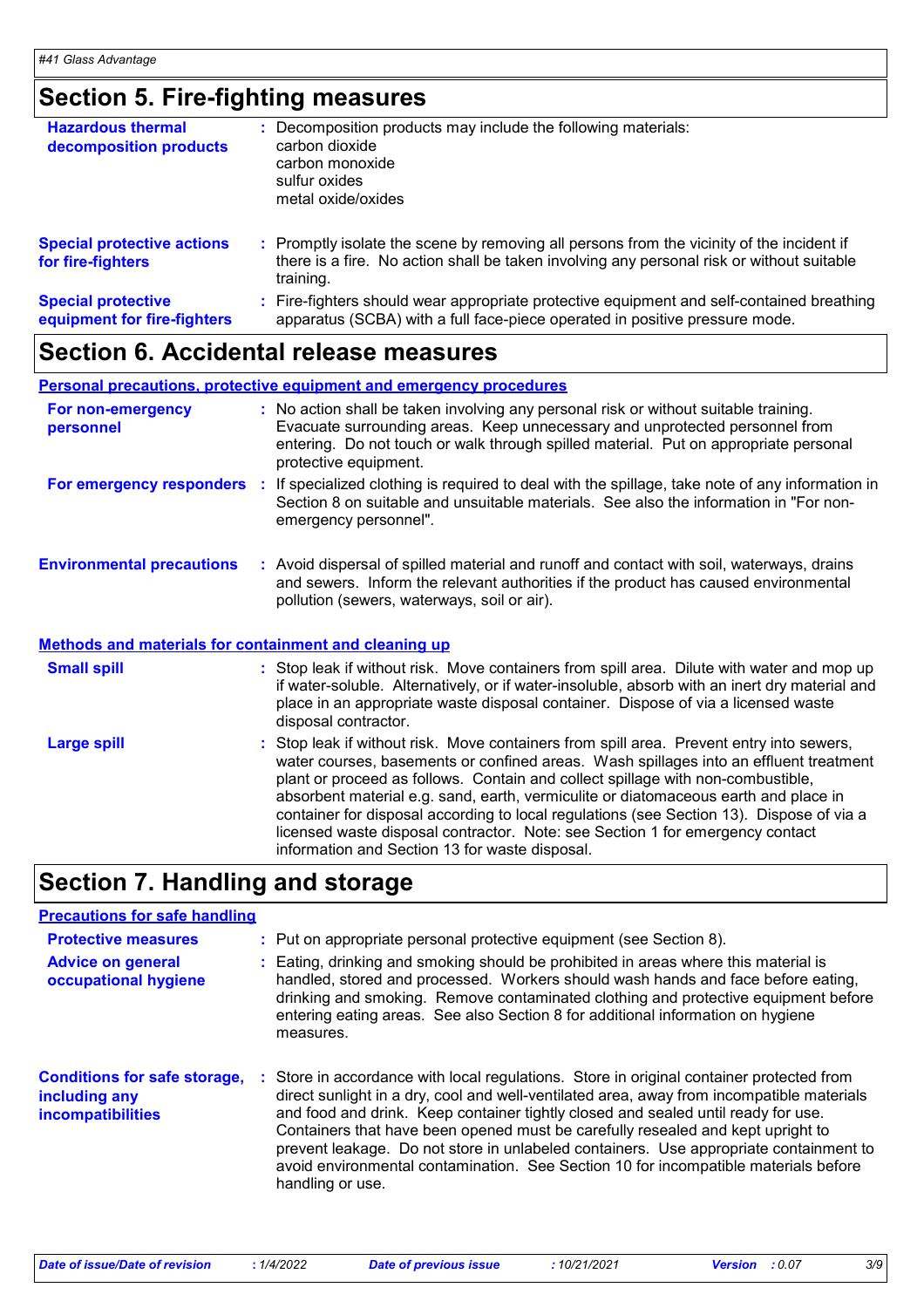# **Section 5. Fire-fighting measures**

| <b>Hazardous thermal</b><br>decomposition products       | Decomposition products may include the following materials:<br>carbon dioxide<br>carbon monoxide<br>sulfur oxides<br>metal oxide/oxides                                                             |
|----------------------------------------------------------|-----------------------------------------------------------------------------------------------------------------------------------------------------------------------------------------------------|
| <b>Special protective actions</b><br>for fire-fighters   | : Promptly isolate the scene by removing all persons from the vicinity of the incident if<br>there is a fire. No action shall be taken involving any personal risk or without suitable<br>training. |
| <b>Special protective</b><br>equipment for fire-fighters | : Fire-fighters should wear appropriate protective equipment and self-contained breathing<br>apparatus (SCBA) with a full face-piece operated in positive pressure mode.                            |

# **Section 6. Accidental release measures**

|                                                              |  | <b>Personal precautions, protective equipment and emergency procedures</b>                                                                                                                                                                                                                                                                                                                                                                                                                                                                                                                 |
|--------------------------------------------------------------|--|--------------------------------------------------------------------------------------------------------------------------------------------------------------------------------------------------------------------------------------------------------------------------------------------------------------------------------------------------------------------------------------------------------------------------------------------------------------------------------------------------------------------------------------------------------------------------------------------|
| For non-emergency<br>personnel                               |  | : No action shall be taken involving any personal risk or without suitable training.<br>Evacuate surrounding areas. Keep unnecessary and unprotected personnel from<br>entering. Do not touch or walk through spilled material. Put on appropriate personal<br>protective equipment.                                                                                                                                                                                                                                                                                                       |
|                                                              |  | For emergency responders : If specialized clothing is required to deal with the spillage, take note of any information in<br>Section 8 on suitable and unsuitable materials. See also the information in "For non-<br>emergency personnel".                                                                                                                                                                                                                                                                                                                                                |
| <b>Environmental precautions</b>                             |  | : Avoid dispersal of spilled material and runoff and contact with soil, waterways, drains<br>and sewers. Inform the relevant authorities if the product has caused environmental<br>pollution (sewers, waterways, soil or air).                                                                                                                                                                                                                                                                                                                                                            |
| <b>Methods and materials for containment and cleaning up</b> |  |                                                                                                                                                                                                                                                                                                                                                                                                                                                                                                                                                                                            |
| <b>Small spill</b>                                           |  | : Stop leak if without risk. Move containers from spill area. Dilute with water and mop up<br>if water-soluble. Alternatively, or if water-insoluble, absorb with an inert dry material and<br>place in an appropriate waste disposal container. Dispose of via a licensed waste<br>disposal contractor.                                                                                                                                                                                                                                                                                   |
| <b>Large spill</b>                                           |  | : Stop leak if without risk. Move containers from spill area. Prevent entry into sewers,<br>water courses, basements or confined areas. Wash spillages into an effluent treatment<br>plant or proceed as follows. Contain and collect spillage with non-combustible,<br>absorbent material e.g. sand, earth, vermiculite or diatomaceous earth and place in<br>container for disposal according to local regulations (see Section 13). Dispose of via a<br>licensed waste disposal contractor. Note: see Section 1 for emergency contact<br>information and Section 13 for waste disposal. |

# **Section 7. Handling and storage**

### **Precautions for safe handling**

| <b>Protective measures</b><br><b>Advice on general</b><br>occupational hygiene   | : Put on appropriate personal protective equipment (see Section 8).<br>: Eating, drinking and smoking should be prohibited in areas where this material is<br>handled, stored and processed. Workers should wash hands and face before eating,<br>drinking and smoking. Remove contaminated clothing and protective equipment before<br>entering eating areas. See also Section 8 for additional information on hygiene<br>measures.                                                                                                                              |
|----------------------------------------------------------------------------------|-------------------------------------------------------------------------------------------------------------------------------------------------------------------------------------------------------------------------------------------------------------------------------------------------------------------------------------------------------------------------------------------------------------------------------------------------------------------------------------------------------------------------------------------------------------------|
| <b>Conditions for safe storage,</b><br>including any<br><b>incompatibilities</b> | : Store in accordance with local regulations. Store in original container protected from<br>direct sunlight in a dry, cool and well-ventilated area, away from incompatible materials<br>and food and drink. Keep container tightly closed and sealed until ready for use.<br>Containers that have been opened must be carefully resealed and kept upright to<br>prevent leakage. Do not store in unlabeled containers. Use appropriate containment to<br>avoid environmental contamination. See Section 10 for incompatible materials before<br>handling or use. |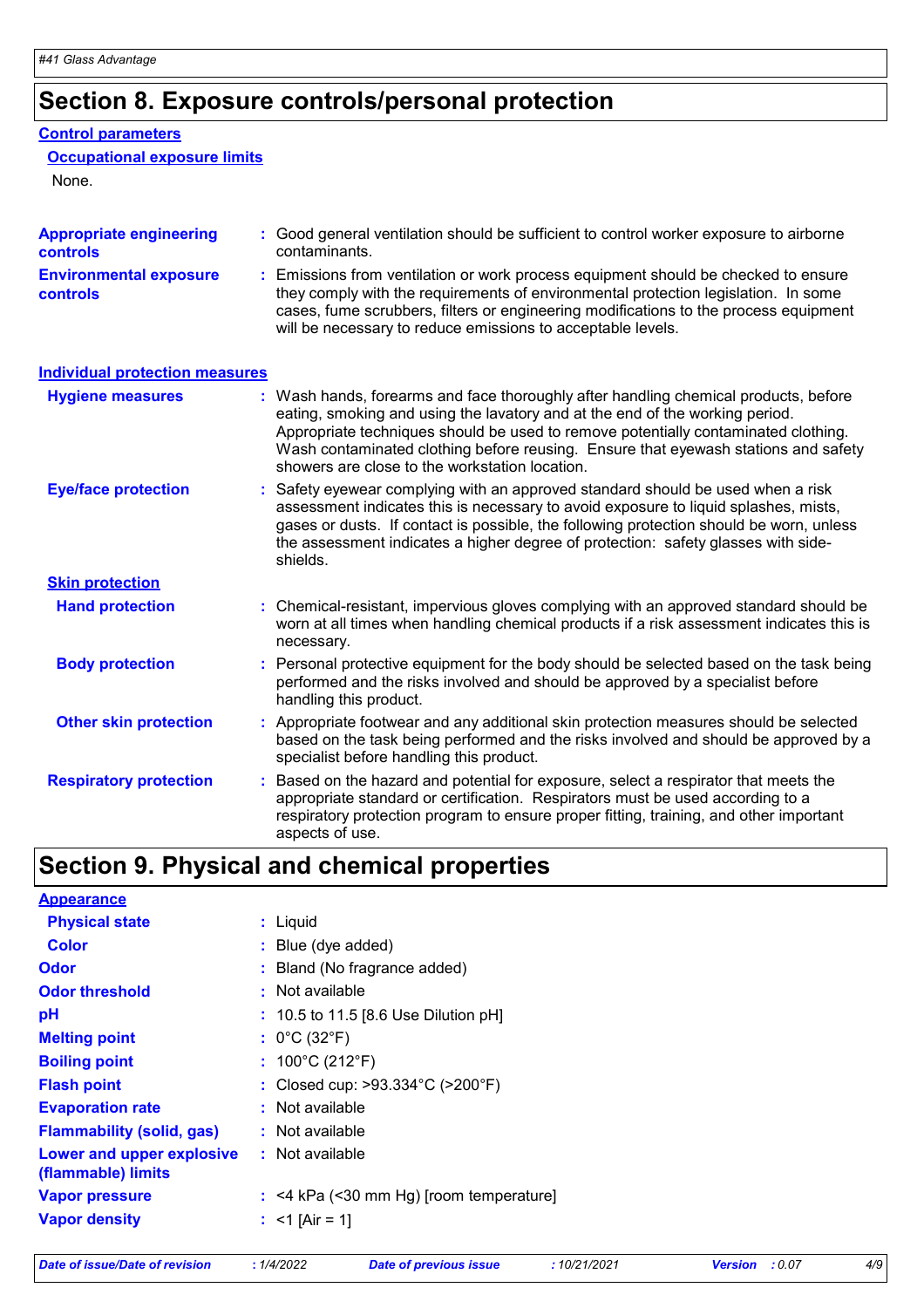# **Section 8. Exposure controls/personal protection**

### **Control parameters**

### **Occupational exposure limits**

None.

| <b>Appropriate engineering</b><br><b>controls</b> |    | : Good general ventilation should be sufficient to control worker exposure to airborne<br>contaminants.                                                                                                                                                                                                                                                                                           |
|---------------------------------------------------|----|---------------------------------------------------------------------------------------------------------------------------------------------------------------------------------------------------------------------------------------------------------------------------------------------------------------------------------------------------------------------------------------------------|
| <b>Environmental exposure</b><br><b>controls</b>  | ÷. | Emissions from ventilation or work process equipment should be checked to ensure<br>they comply with the requirements of environmental protection legislation. In some<br>cases, fume scrubbers, filters or engineering modifications to the process equipment<br>will be necessary to reduce emissions to acceptable levels.                                                                     |
| <b>Individual protection measures</b>             |    |                                                                                                                                                                                                                                                                                                                                                                                                   |
| <b>Hygiene measures</b>                           |    | : Wash hands, forearms and face thoroughly after handling chemical products, before<br>eating, smoking and using the lavatory and at the end of the working period.<br>Appropriate techniques should be used to remove potentially contaminated clothing.<br>Wash contaminated clothing before reusing. Ensure that eyewash stations and safety<br>showers are close to the workstation location. |
| <b>Eye/face protection</b>                        |    | : Safety eyewear complying with an approved standard should be used when a risk<br>assessment indicates this is necessary to avoid exposure to liquid splashes, mists,<br>gases or dusts. If contact is possible, the following protection should be worn, unless<br>the assessment indicates a higher degree of protection: safety glasses with side-<br>shields.                                |
| <b>Skin protection</b>                            |    |                                                                                                                                                                                                                                                                                                                                                                                                   |
| <b>Hand protection</b>                            |    | : Chemical-resistant, impervious gloves complying with an approved standard should be<br>worn at all times when handling chemical products if a risk assessment indicates this is<br>necessary.                                                                                                                                                                                                   |
| <b>Body protection</b>                            |    | : Personal protective equipment for the body should be selected based on the task being<br>performed and the risks involved and should be approved by a specialist before<br>handling this product.                                                                                                                                                                                               |
| <b>Other skin protection</b>                      |    | : Appropriate footwear and any additional skin protection measures should be selected<br>based on the task being performed and the risks involved and should be approved by a<br>specialist before handling this product.                                                                                                                                                                         |
| <b>Respiratory protection</b>                     | t. | Based on the hazard and potential for exposure, select a respirator that meets the<br>appropriate standard or certification. Respirators must be used according to a<br>respiratory protection program to ensure proper fitting, training, and other important<br>aspects of use.                                                                                                                 |

# **Section 9. Physical and chemical properties**

| <b>Appearance</b>                               |                                                       |
|-------------------------------------------------|-------------------------------------------------------|
| <b>Physical state</b>                           | : Liquid                                              |
| <b>Color</b>                                    | : Blue (dye added)                                    |
| <b>Odor</b>                                     | : Bland (No fragrance added)                          |
| <b>Odor threshold</b>                           | : Not available                                       |
| pH                                              | : 10.5 to 11.5 [8.6 Use Dilution pH]                  |
| <b>Melting point</b>                            | : $0^{\circ}$ C (32 $^{\circ}$ F)                     |
| <b>Boiling point</b>                            | : $100^{\circ}$ C (212 $^{\circ}$ F)                  |
| <b>Flash point</b>                              | : Closed cup: $>93.334^{\circ}$ C ( $>200^{\circ}$ F) |
| <b>Evaporation rate</b>                         | : Not available                                       |
| <b>Flammability (solid, gas)</b>                | : Not available                                       |
| Lower and upper explosive<br>(flammable) limits | : Not available                                       |
| <b>Vapor pressure</b>                           | $:$ <4 kPa (<30 mm Hg) [room temperature]             |
| <b>Vapor density</b>                            | : $<$ 1 [Air = 1]                                     |
|                                                 |                                                       |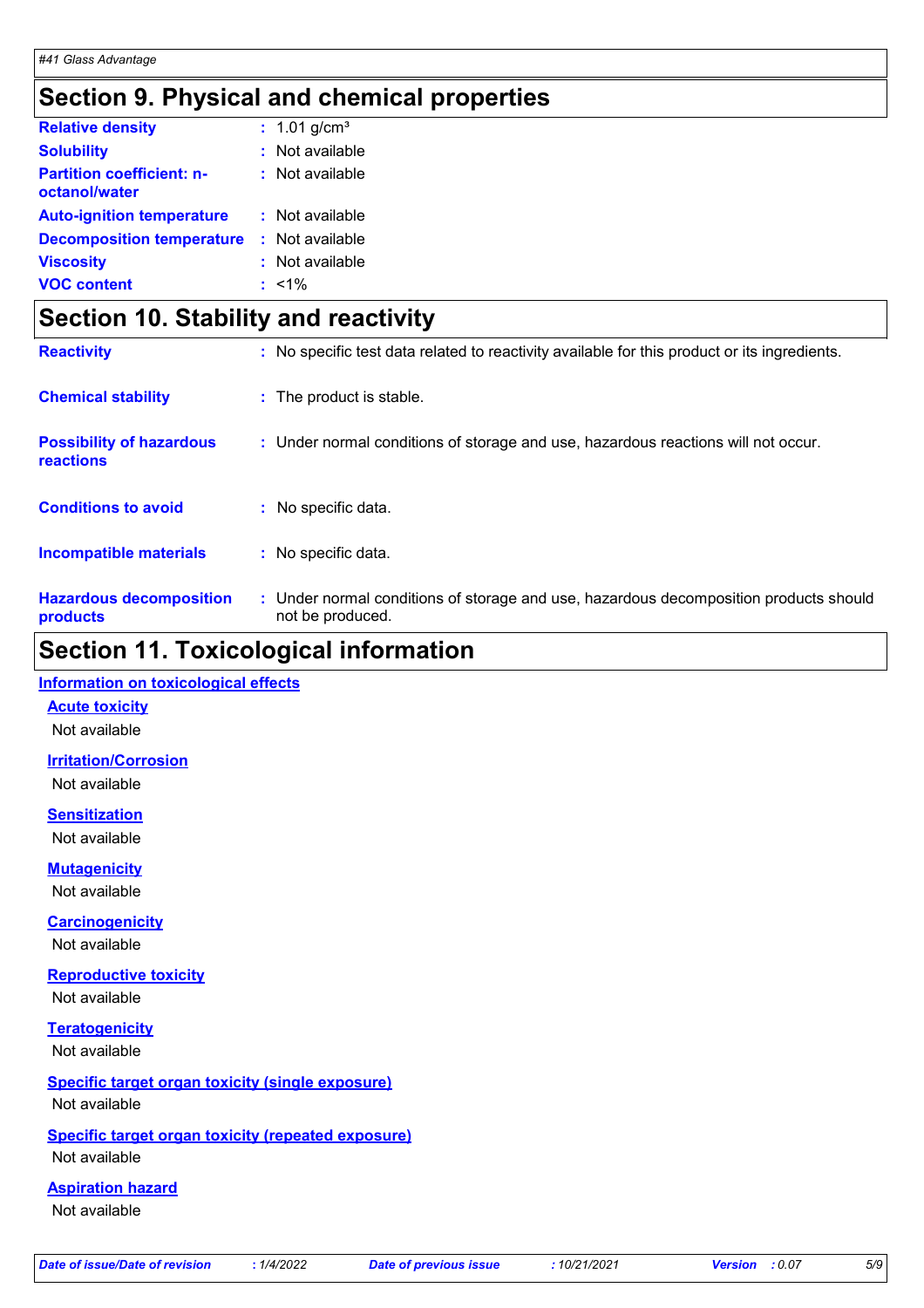# **Section 9. Physical and chemical properties**

| <b>Relative density</b>                           | : $1.01$ g/cm <sup>3</sup> |
|---------------------------------------------------|----------------------------|
| <b>Solubility</b>                                 | $:$ Not available          |
| <b>Partition coefficient: n-</b><br>octanol/water | $:$ Not available          |
| <b>Auto-ignition temperature</b>                  | : Not available            |
| <b>Decomposition temperature</b>                  | : Not available            |
| <b>Viscosity</b>                                  | : Not available            |
| <b>VOC content</b>                                | $: 1\%$                    |

# **Section 10. Stability and reactivity**

| <b>Reactivity</b>                            | : No specific test data related to reactivity available for this product or its ingredients.              |
|----------------------------------------------|-----------------------------------------------------------------------------------------------------------|
| <b>Chemical stability</b>                    | : The product is stable.                                                                                  |
| <b>Possibility of hazardous</b><br>reactions | : Under normal conditions of storage and use, hazardous reactions will not occur.                         |
| <b>Conditions to avoid</b>                   | : No specific data.                                                                                       |
| <b>Incompatible materials</b>                | : No specific data.                                                                                       |
| <b>Hazardous decomposition</b><br>products   | : Under normal conditions of storage and use, hazardous decomposition products should<br>not be produced. |

### **Section 11. Toxicological information**

### **Information on toxicological effects**

**Acute toxicity**

Not available

**Irritation/Corrosion**

Not available

**Sensitization** Not available

**Mutagenicity**

Not available

**Carcinogenicity**

Not available

**Reproductive toxicity** Not available

**Teratogenicity** Not available

### **Specific target organ toxicity (single exposure)** Not available

### **Specific target organ toxicity (repeated exposure)**

Not available

### **Aspiration hazard**

Not available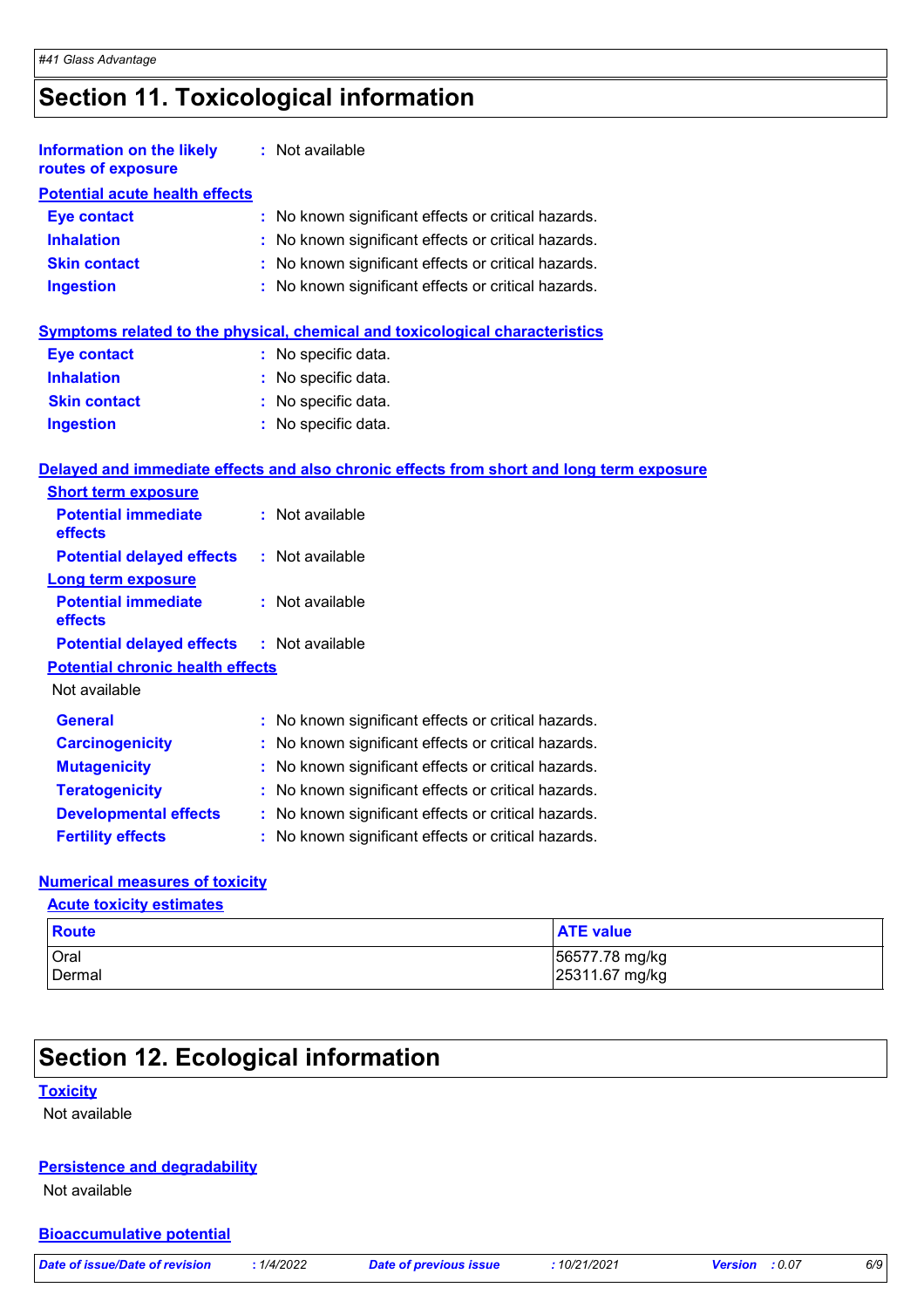# **Section 11. Toxicological information**

| <b>Information on the likely</b><br>routes of exposure | : Not available                                                                          |
|--------------------------------------------------------|------------------------------------------------------------------------------------------|
| <b>Potential acute health effects</b>                  |                                                                                          |
| <b>Eye contact</b>                                     | No known significant effects or critical hazards.<br>t.                                  |
| <b>Inhalation</b>                                      | : No known significant effects or critical hazards.                                      |
| <b>Skin contact</b>                                    | : No known significant effects or critical hazards.                                      |
| <b>Ingestion</b>                                       | : No known significant effects or critical hazards.                                      |
|                                                        | Symptoms related to the physical, chemical and toxicological characteristics             |
| <b>Eye contact</b>                                     | : No specific data.                                                                      |
| <b>Inhalation</b>                                      | : No specific data.                                                                      |
| <b>Skin contact</b>                                    | : No specific data.                                                                      |
| <b>Ingestion</b>                                       | : No specific data.                                                                      |
|                                                        | Delayed and immediate effects and also chronic effects from short and long term exposure |
| <b>Short term exposure</b>                             |                                                                                          |
| <b>Potential immediate</b><br>effects                  | : Not available                                                                          |
| <b>Potential delayed effects</b>                       | : Not available                                                                          |
| <b>Long term exposure</b>                              |                                                                                          |
| <b>Potential immediate</b><br>effects                  | : Not available                                                                          |
| <b>Potential delayed effects</b>                       | : Not available                                                                          |
| <b>Potential chronic health effects</b>                |                                                                                          |
| Not available                                          |                                                                                          |
| <b>General</b>                                         | No known significant effects or critical hazards.                                        |
| <b>Carcinogenicity</b>                                 | No known significant effects or critical hazards.                                        |
| <b>Mutagenicity</b>                                    | No known significant effects or critical hazards.                                        |
| <b>Teratogenicity</b>                                  | No known significant effects or critical hazards.                                        |
| <b>Developmental effects</b>                           | : No known significant effects or critical hazards.                                      |
| <b>Fertility effects</b>                               | No known significant effects or critical hazards.                                        |

### **Numerical measures of toxicity**

**Acute toxicity estimates**

| Route          | <b>ATE value</b>                 |
|----------------|----------------------------------|
| Oral<br>Dermal | 56577.78 mg/kg<br>25311.67 mg/kg |
|                |                                  |

# **Section 12. Ecological information**

### **Toxicity**

Not available

### **Persistence and degradability**

Not available

### **Bioaccumulative potential**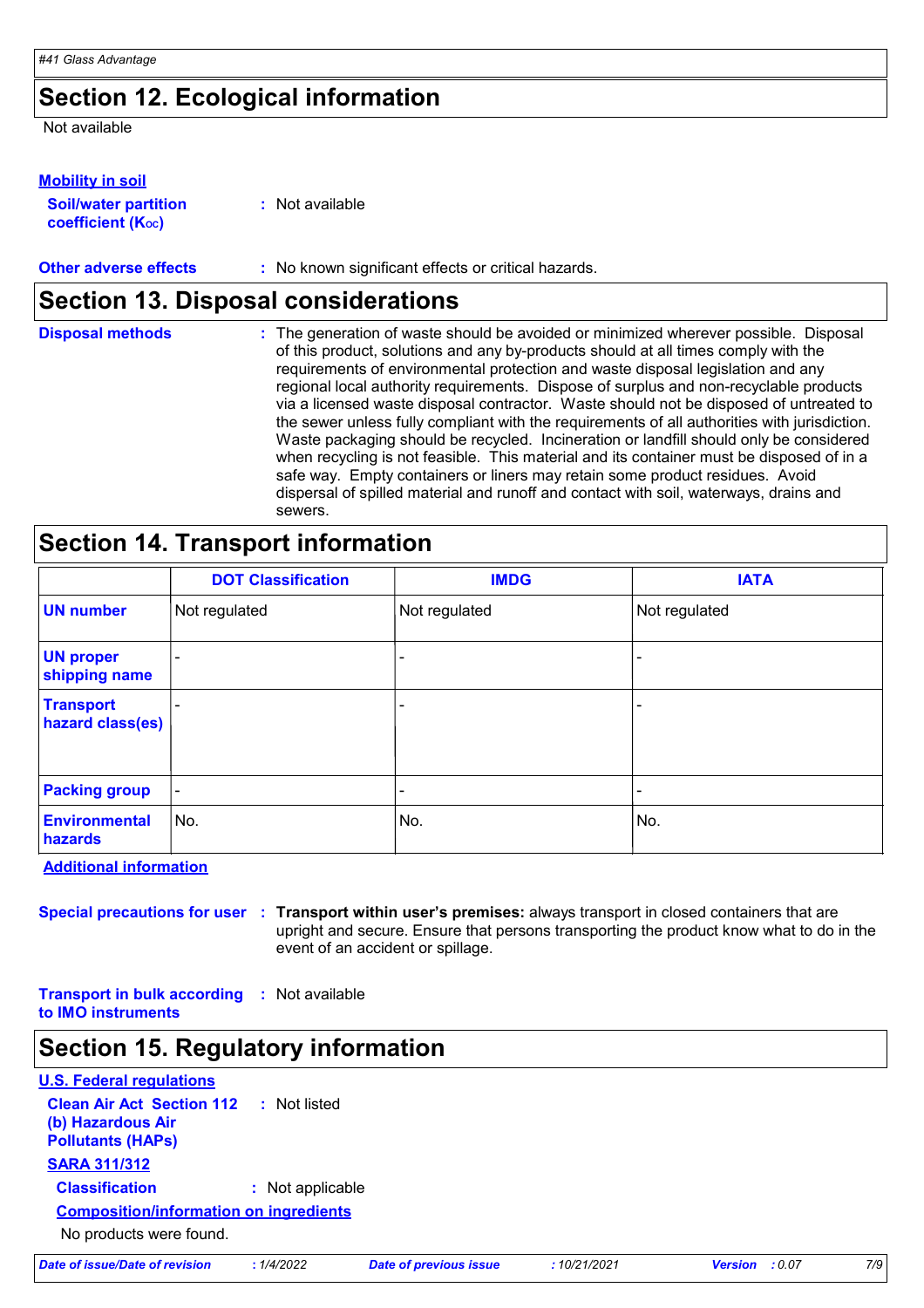# **Section 12. Ecological information**

Not available

### **Mobility in soil**

| <b>Soil/water partition</b>    | : Not available |
|--------------------------------|-----------------|
| coefficient (K <sub>oc</sub> ) |                 |

**Other adverse effects** : No known significant effects or critical hazards.

## **Section 13. Disposal considerations**

| <b>Disposal methods</b> | : The generation of waste should be avoided or minimized wherever possible. Disposal<br>of this product, solutions and any by-products should at all times comply with the<br>requirements of environmental protection and waste disposal legislation and any<br>regional local authority requirements. Dispose of surplus and non-recyclable products<br>via a licensed waste disposal contractor. Waste should not be disposed of untreated to<br>the sewer unless fully compliant with the requirements of all authorities with jurisdiction.<br>Waste packaging should be recycled. Incineration or landfill should only be considered<br>when recycling is not feasible. This material and its container must be disposed of in a<br>safe way. Empty containers or liners may retain some product residues. Avoid<br>dispersal of spilled material and runoff and contact with soil, waterways, drains and |
|-------------------------|-----------------------------------------------------------------------------------------------------------------------------------------------------------------------------------------------------------------------------------------------------------------------------------------------------------------------------------------------------------------------------------------------------------------------------------------------------------------------------------------------------------------------------------------------------------------------------------------------------------------------------------------------------------------------------------------------------------------------------------------------------------------------------------------------------------------------------------------------------------------------------------------------------------------|
|                         | sewers.                                                                                                                                                                                                                                                                                                                                                                                                                                                                                                                                                                                                                                                                                                                                                                                                                                                                                                         |

# **Section 14. Transport information**

|                                      | <b>DOT Classification</b> | <b>IMDG</b>              | <b>IATA</b>   |
|--------------------------------------|---------------------------|--------------------------|---------------|
| <b>UN number</b>                     | Not regulated             | Not regulated            | Not regulated |
| <b>UN proper</b><br>shipping name    |                           |                          |               |
| <b>Transport</b><br>hazard class(es) |                           | $\overline{\phantom{0}}$ |               |
| <b>Packing group</b>                 | $\blacksquare$            |                          |               |
| <b>Environmental</b><br>hazards      | No.                       | No.                      | No.           |

**Additional information**

**Special precautions for user Transport within user's premises:** always transport in closed containers that are **:** upright and secure. Ensure that persons transporting the product know what to do in the event of an accident or spillage.

**Transport in bulk according :** Not available **to IMO instruments**

## **Section 15. Regulatory information**

| <b>U.S. Federal regulations</b>                                                                |                  |  |  |  |
|------------------------------------------------------------------------------------------------|------------------|--|--|--|
| <b>Clean Air Act Section 112 : Not listed</b><br>(b) Hazardous Air<br><b>Pollutants (HAPs)</b> |                  |  |  |  |
| <b>SARA 311/312</b>                                                                            |                  |  |  |  |
| <b>Classification</b>                                                                          | : Not applicable |  |  |  |
| <b>Composition/information on ingredients</b>                                                  |                  |  |  |  |
| No products were found.                                                                        |                  |  |  |  |

|  | Date of issue/Date of revision | : 1 |
|--|--------------------------------|-----|
|  |                                |     |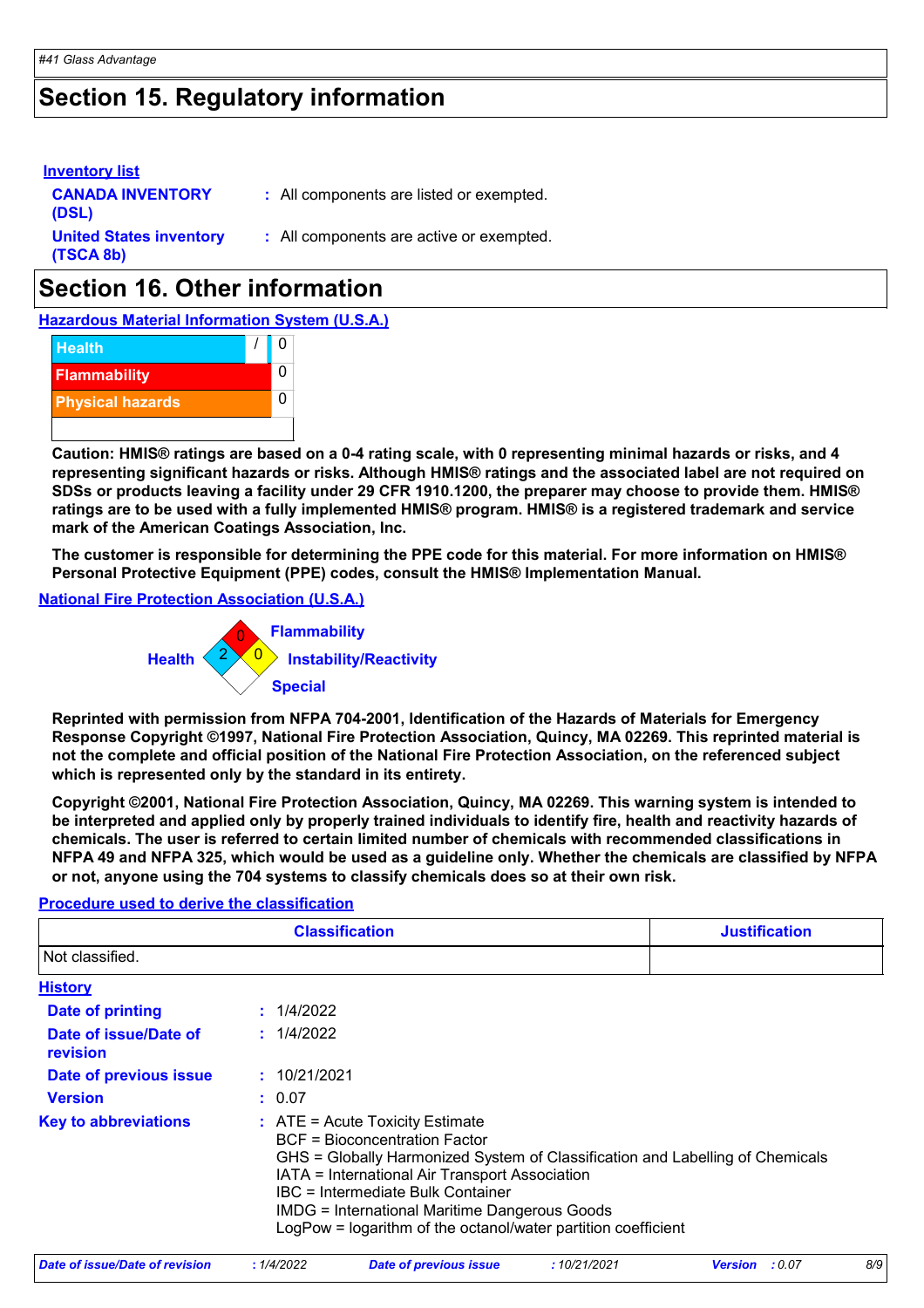# **Section 15. Regulatory information**

| <b>Inventory list</b><br><b>CANADA INVENTORY</b><br>(DSL) | : All components are listed or exempted. |
|-----------------------------------------------------------|------------------------------------------|
| <b>United States inventory</b><br>(TSCA 8b)               | : All components are active or exempted. |

# **Section 16. Other information**

**Hazardous Material Information System (U.S.A.)**



**Caution: HMIS® ratings are based on a 0-4 rating scale, with 0 representing minimal hazards or risks, and 4 representing significant hazards or risks. Although HMIS® ratings and the associated label are not required on SDSs or products leaving a facility under 29 CFR 1910.1200, the preparer may choose to provide them. HMIS® ratings are to be used with a fully implemented HMIS® program. HMIS® is a registered trademark and service mark of the American Coatings Association, Inc.**

**The customer is responsible for determining the PPE code for this material. For more information on HMIS® Personal Protective Equipment (PPE) codes, consult the HMIS® Implementation Manual.**

**National Fire Protection Association (U.S.A.)**



**Reprinted with permission from NFPA 704-2001, Identification of the Hazards of Materials for Emergency Response Copyright ©1997, National Fire Protection Association, Quincy, MA 02269. This reprinted material is not the complete and official position of the National Fire Protection Association, on the referenced subject which is represented only by the standard in its entirety.**

**Copyright ©2001, National Fire Protection Association, Quincy, MA 02269. This warning system is intended to be interpreted and applied only by properly trained individuals to identify fire, health and reactivity hazards of chemicals. The user is referred to certain limited number of chemicals with recommended classifications in NFPA 49 and NFPA 325, which would be used as a guideline only. Whether the chemicals are classified by NFPA or not, anyone using the 704 systems to classify chemicals does so at their own risk.**

### **Procedure used to derive the classification**

|                                   | <b>Classification</b>                                                                                                                                                                                                                                                                                                                                                               | <b>Justification</b> |
|-----------------------------------|-------------------------------------------------------------------------------------------------------------------------------------------------------------------------------------------------------------------------------------------------------------------------------------------------------------------------------------------------------------------------------------|----------------------|
| Not classified.                   |                                                                                                                                                                                                                                                                                                                                                                                     |                      |
| <b>History</b>                    |                                                                                                                                                                                                                                                                                                                                                                                     |                      |
| Date of printing                  | : 1/4/2022                                                                                                                                                                                                                                                                                                                                                                          |                      |
| Date of issue/Date of<br>revision | : 1/4/2022                                                                                                                                                                                                                                                                                                                                                                          |                      |
| Date of previous issue            | : 10/21/2021                                                                                                                                                                                                                                                                                                                                                                        |                      |
| <b>Version</b>                    | : 0.07                                                                                                                                                                                                                                                                                                                                                                              |                      |
| <b>Key to abbreviations</b>       | $\therefore$ ATE = Acute Toxicity Estimate<br><b>BCF</b> = Bioconcentration Factor<br>GHS = Globally Harmonized System of Classification and Labelling of Chemicals<br>IATA = International Air Transport Association<br>IBC = Intermediate Bulk Container<br><b>IMDG = International Maritime Dangerous Goods</b><br>LogPow = logarithm of the octanol/water partition coefficient |                      |

| Date of issue/Date of revision | 1/4/2022 | Date of previous issue | 10/21/2021 | <b>Version</b> : 0.07 | 8/9 |
|--------------------------------|----------|------------------------|------------|-----------------------|-----|
|                                |          |                        |            |                       |     |